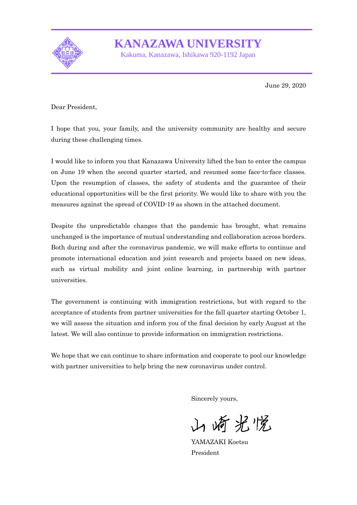

**KANAZAWA UNIVERSITY**

Kakuma, Kanazawa, Ishikawa 920-1192 Japan

June 29, 2020

Dear President,

I hope that you, your family, and the university community are healthy and secure during these challenging times.

I would like to inform you that Kanazawa University lifted the ban to enter the campus on June 19 when the second quarter started, and resumed some face-to-face classes. Upon the resumption of classes, the safety of students and the guarantee of their educational opportunities will be the first priority. We would like to share with you the measures against the spread of COVID-19 as shown in the attached document.

Despite the unpredictable changes that the pandemic has brought, what remains unchanged is the importance of mutual understanding and collaboration across borders. Both during and after the coronavirus pandemic, we will make efforts to continue and promote international education and joint research and projects based on new ideas, such as virtual mobility and joint online learning, in partnership with partner universities.

The government is continuing with immigration restrictions, but with regard to the acceptance of students from partner universities for the fall quarter starting October 1, we will assess the situation and inform you of the final decision by early August at the latest. We will also continue to provide information on immigration restrictions.

We hope that we can continue to share information and cooperate to pool our knowledge with partner universities to help bring the new coronavirus under control.

Sincerely yours,

山崎光悦

YAMAZAKI Koetsu President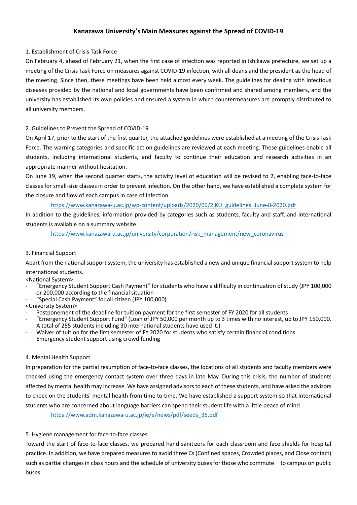# **Kanazawa University's Main Measures against the Spread of COVID-19**

# 1. Establishment of Crisis Task Force

On February 4, ahead of February 21, when the first case of infection was reported in Ishikawa prefecture, we set up a meeting of the Crisis Task Force on measures against COVID-19 infection, with all deans and the president as the head of the meeting. Since then, these meetings have been held almost every week. The guidelines for dealing with infectious diseases provided by the national and local governments have been confirmed and shared among members, and the university has established its own policies and ensured a system in which countermeasures are promptly distributed to all university members.

# 2. Guidelines to Prevent the Spread of COVID-19

On April 17, prior to the start of the first quarter, the attached guidelines were established at a meeting of the Crisis Task Force. The warning categories and specific action guidelines are reviewed at each meeting. These guidelines enable all students, including international students, and faculty to continue their education and research activities in an appropriate manner without hesitation.

On June 19, when the second quarter starts, the activity level of education will be revised to 2, enabling face-to-face classes for small-size classes in order to prevent infection. On the other hand, we have established a complete system for the closure and flow of each campus in case of infection.

### [https://www.kanazawa-u.ac.jp/wp-content/uploads/2020/06/2.KU\\_guidelines\\_June-8-2020.pdf](https://www.kanazawa-u.ac.jp/wp-content/uploads/2020/06/2.KU_guidelines_June-8-2020.pdf)

In addition to the guidelines, information provided by categories such as students, faculty and staff, and international students is available on a summary website.

[https://www.kanazawa-u.ac.jp/university/corporation/risk\\_management/new\\_coronavirus](https://www.kanazawa-u.ac.jp/university/corporation/risk_management/new_coronavirus)

### 3. Financial Support

Apart from the national support system, the university has established a new and unique financial support system to help

international students.

- <National System>
- "Emergency Student Support Cash Payment" for students who have a difficulty in continuation of study (JPY 100,000 or 200,000 according to the financial situation
- "Special Cash Payment" for all citizen (JPY 100,000)

<University System>

- Postponement of the deadline for tuition payment for the first semester of FY 2020 for all students
- "Emergency Student Support Fund" (Loan of JPY 50,000 per month up to 3 times with no interest, up to JPY 150,000. A total of 255 students including 30 international students have used it.)
- Waiver of tuition for the first semester of FY 2020 for students who satisfy certain financial conditions
- Emergency student support using crowd funding

### 4. Mental Health Support

In preparation for the partial resumption of face-to-face classes, the locations of all students and faculty members were checked using the emergency contact system over three days in late May. During this crisis, the number of students affected by mental health may increase. We have assigned advisors to each of these students, and have asked the advisors to check on the students' mental health from time to time. We have established a support system so that international students who are concerned about language barriers can spend their student life with a little peace of mind.

[https://www.adm.kanazawa-u.ac.jp/ie/e/news/pdf/seeds\\_35.pdf](https://www.adm.kanazawa-u.ac.jp/ie/e/news/pdf/seeds_35.pdf)

### 5. Hygiene management for face-to-face classes

Toward the start of face-to-face classes, we prepared hand sanitizers for each classroom and face shields for hospital practice. In addition, we have prepared measures to avoid three Cs (Confined spaces, Crowded places, and Close contact) such as partial changes in class hours and the schedule of university buses for those who commute to campus on public buses.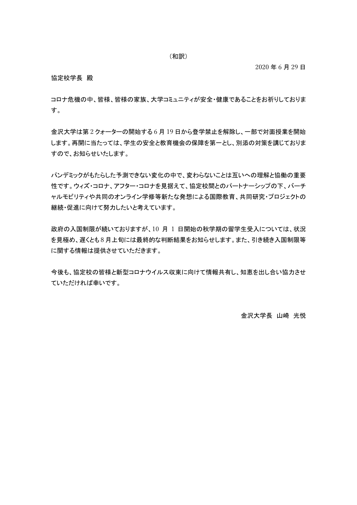(和訳)

2020 年 6 月 29 日

協定校学長 殿

コロナ危機の中、皆様、皆様の家族、大学コミュニティが安全・健康であることをお祈りしておりま す。

金沢大学は第 2 クォーターの開始する 6 月 19 日から登学禁止を解除し、一部で対面授業を開始 します。再開に当たっては、学生の安全と教育機会の保障を第一とし、別添の対策を講じておりま すので、お知らせいたします。

パンデミックがもたらした予測できない変化の中で、変わらないことは互いへの理解と協働の重要 性です。ウィズ・コロナ、アフター・コロナを見据えて、協定校間とのパートナーシップの下、バーチ ャルモビリティや共同のオンライン学修等新たな発想による国際教育、共同研究・プロジェクトの 継続・促進に向けて努力したいと考えています。

政府の入国制限が続いておりますが、10 月 1 日開始の秋学期の留学生受入については、状況 を見極め、遅くとも 8 月上旬には最終的な判断結果をお知らせします。また、引き続き入国制限等 に関する情報は提供させていただきます。

今後も、協定校の皆様と新型コロナウイルス収束に向けて情報共有し、知恵を出し合い協力させ ていただければ幸いです。

金沢大学長 山崎 光悦